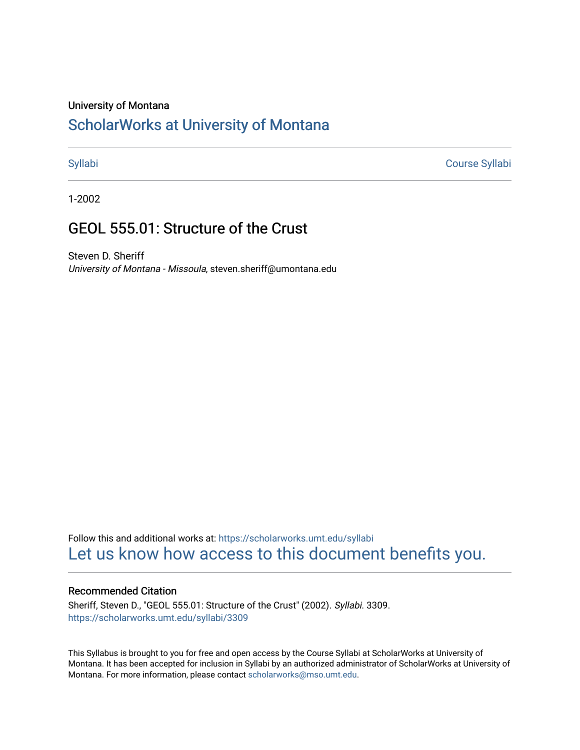### University of Montana

# [ScholarWorks at University of Montana](https://scholarworks.umt.edu/)

[Syllabi](https://scholarworks.umt.edu/syllabi) [Course Syllabi](https://scholarworks.umt.edu/course_syllabi) 

1-2002

# GEOL 555.01: Structure of the Crust

Steven D. Sheriff University of Montana - Missoula, steven.sheriff@umontana.edu

Follow this and additional works at: [https://scholarworks.umt.edu/syllabi](https://scholarworks.umt.edu/syllabi?utm_source=scholarworks.umt.edu%2Fsyllabi%2F3309&utm_medium=PDF&utm_campaign=PDFCoverPages)  [Let us know how access to this document benefits you.](https://goo.gl/forms/s2rGfXOLzz71qgsB2) 

### Recommended Citation

Sheriff, Steven D., "GEOL 555.01: Structure of the Crust" (2002). Syllabi. 3309. [https://scholarworks.umt.edu/syllabi/3309](https://scholarworks.umt.edu/syllabi/3309?utm_source=scholarworks.umt.edu%2Fsyllabi%2F3309&utm_medium=PDF&utm_campaign=PDFCoverPages)

This Syllabus is brought to you for free and open access by the Course Syllabi at ScholarWorks at University of Montana. It has been accepted for inclusion in Syllabi by an authorized administrator of ScholarWorks at University of Montana. For more information, please contact [scholarworks@mso.umt.edu.](mailto:scholarworks@mso.umt.edu)